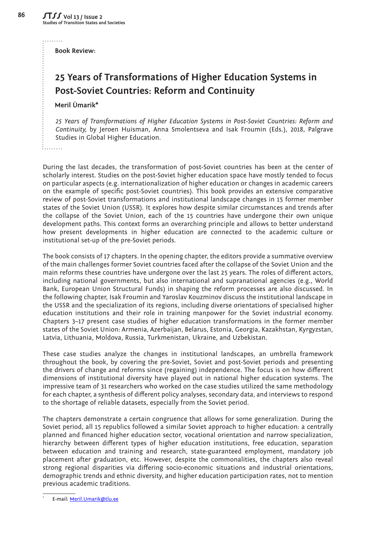**Book Review:** 

## **25 Years of Transformations of Higher Education Systems in Post-Soviet Countries: Reform and Continuity**

## **Meril Ümarik\***

*25 Years of Transformations of Higher Education Systems in Post-Soviet Countries: Reform and Continuity,* by Jeroen Huisman, Anna Smolentseva and Isak Froumin (Eds.), 2018, Palgrave Studies in Global Higher Education.

During the last decades, the transformation of post-Soviet countries has been at the center of scholarly interest. Studies on the post-Soviet higher education space have mostly tended to focus on particular aspects (e.g. internationalization of higher education or changes in academic careers on the example of specific post-Soviet countries). This book provides an extensive comparative review of post-Soviet transformations and institutional landscape changes in 15 former member states of the Soviet Union (USSR). It explores how despite similar circumstances and trends after the collapse of the Soviet Union, each of the 15 countries have undergone their own unique development paths. This context forms an overarching principle and allows to better understand how present developments in higher education are connected to the academic culture or institutional set-up of the pre-Soviet periods.

The book consists of 17 chapters. In the opening chapter, the editors provide a summative overview of the main challenges former Soviet countries faced after the collapse of the Soviet Union and the main reforms these countries have undergone over the last 25 years. The roles of different actors, including national governments, but also international and supranational agencies (e.g., World Bank, European Union Structural Funds) in shaping the reform processes are also discussed. In the following chapter, Isak Froumin and Yaroslav Kouzminov discuss the institutional landscape in the USSR and the specialization of its regions, including diverse orientations of specialised higher education institutions and their role in training manpower for the Soviet industrial economy. Chapters 3–17 present case studies of higher education transformations in the former member states of the Soviet Union: Armenia, Azerbaijan, Belarus, Estonia, Georgia, Kazakhstan, Kyrgyzstan, Latvia, Lithuania, Moldova, Russia, Turkmenistan, Ukraine, and Uzbekistan.

These case studies analyze the changes in institutional landscapes, an umbrella framework throughout the book, by covering the pre-Soviet, Soviet and post-Soviet periods and presenting the drivers of change and reforms since (regaining) independence. The focus is on how different dimensions of institutional diversity have played out in national higher education systems. The impressive team of 31 researchers who worked on the case studies utilized the same methodology for each chapter, a synthesis of different policy analyses, secondary data, and interviews to respond to the shortage of reliable datasets, especially from the Soviet period.

The chapters demonstrate a certain congruence that allows for some generalization. During the Soviet period, all 15 republics followed a similar Soviet approach to higher education: a centrally planned and financed higher education sector, vocational orientation and narrow specialization, hierarchy between different types of higher education institutions, free education, separation between education and training and research, state-guaranteed employment, mandatory job placement after graduation, etc. However, despite the commonalities, the chapters also reveal strong regional disparities via differing socio-economic situations and industrial orientations, demographic trends and ethnic diversity, and higher education participation rates, not to mention previous academic traditions.

. . . . . . . . .

<sup>\*</sup> E-mail: [Meril.Umarik@tlu.ee](mailto:Meril.Umarik%40tlu.ee?subject=)